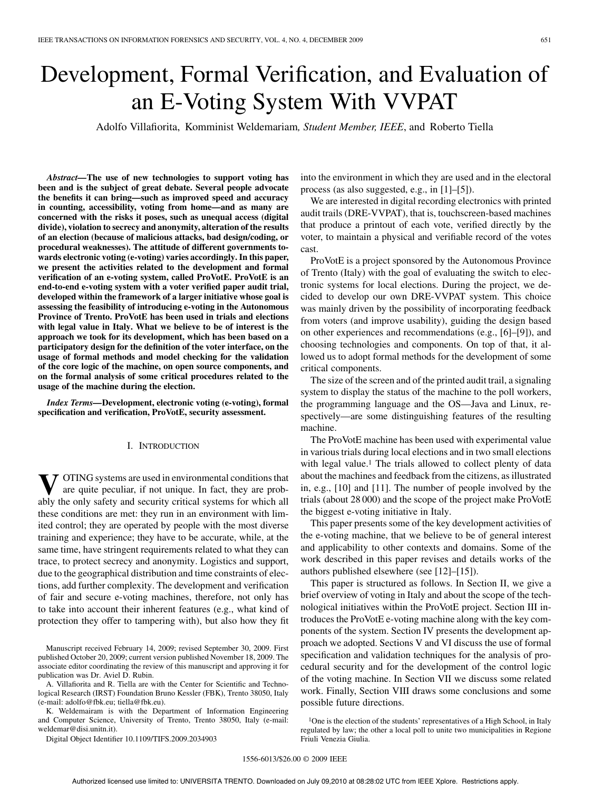# Development, Formal Verification, and Evaluation of an E-Voting System With VVPAT

Adolfo Villafiorita, Komminist Weldemariam*, Student Member, IEEE*, and Roberto Tiella

*Abstract—***The use of new technologies to support voting has been and is the subject of great debate. Several people advocate the benefits it can bring—such as improved speed and accuracy in counting, accessibility, voting from home—and as many are concerned with the risks it poses, such as unequal access (digital divide), violation to secrecy and anonymity, alteration of the results of an election (because of malicious attacks, bad design/coding, or procedural weaknesses). The attitude of different governments towards electronic voting (e-voting) varies accordingly. In this paper, we present the activities related to the development and formal verification of an e-voting system, called ProVotE. ProVotE is an end-to-end e-voting system with a voter verified paper audit trial, developed within the framework of a larger initiative whose goal is assessing the feasibility of introducing e-voting in the Autonomous Province of Trento. ProVotE has been used in trials and elections with legal value in Italy. What we believe to be of interest is the approach we took for its development, which has been based on a participatory design for the definition of the voter interface, on the usage of formal methods and model checking for the validation of the core logic of the machine, on open source components, and on the formal analysis of some critical procedures related to the usage of the machine during the election.**

*Index Terms—***Development, electronic voting (e-voting), formal specification and verification, ProVotE, security assessment.**

## I. INTRODUCTION

**V**OTING systems are used in environmental conditions that are quite peculiar, if not unique. In fact, they are probably the only safety and security critical systems for which all these conditions are met: they run in an environment with limited control; they are operated by people with the most diverse training and experience; they have to be accurate, while, at the same time, have stringent requirements related to what they can trace, to protect secrecy and anonymity. Logistics and support, due to the geographical distribution and time constraints of elections, add further complexity. The development and verification of fair and secure e-voting machines, therefore, not only has to take into account their inherent features (e.g., what kind of protection they offer to tampering with), but also how they fit

A. Villafiorita and R. Tiella are with the Center for Scientific and Technological Research (IRST) Foundation Bruno Kessler (FBK), Trento 38050, Italy (e-mail: adolfo@fbk.eu; tiella@fbk.eu).

K. Weldemairam is with the Department of Information Engineering and Computer Science, University of Trento, Trento 38050, Italy (e-mail: weldemar@disi.unitn.it).

Digital Object Identifier 10.1109/TIFS.2009.2034903

into the environment in which they are used and in the electoral process (as also suggested, e.g., in [1]–[5]).

We are interested in digital recording electronics with printed audit trails (DRE-VVPAT), that is, touchscreen-based machines that produce a printout of each vote, verified directly by the voter, to maintain a physical and verifiable record of the votes cast.

ProVotE is a project sponsored by the Autonomous Province of Trento (Italy) with the goal of evaluating the switch to electronic systems for local elections. During the project, we decided to develop our own DRE-VVPAT system. This choice was mainly driven by the possibility of incorporating feedback from voters (and improve usability), guiding the design based on other experiences and recommendations (e.g., [6]–[9]), and choosing technologies and components. On top of that, it allowed us to adopt formal methods for the development of some critical components.

The size of the screen and of the printed audit trail, a signaling system to display the status of the machine to the poll workers, the programming language and the OS—Java and Linux, respectively—are some distinguishing features of the resulting machine.

The ProVotE machine has been used with experimental value in various trials during local elections and in two small elections with legal value.<sup>1</sup> The trials allowed to collect plenty of data about the machines and feedback from the citizens, as illustrated in, e.g., [10] and [11]. The number of people involved by the trials (about 28 000) and the scope of the project make ProVotE the biggest e-voting initiative in Italy.

This paper presents some of the key development activities of the e-voting machine, that we believe to be of general interest and applicability to other contexts and domains. Some of the work described in this paper revises and details works of the authors published elsewhere (see [12]–[15]).

This paper is structured as follows. In Section II, we give a brief overview of voting in Italy and about the scope of the technological initiatives within the ProVotE project. Section III introduces the ProVotE e-voting machine along with the key components of the system. Section IV presents the development approach we adopted. Sections V and VI discuss the use of formal specification and validation techniques for the analysis of procedural security and for the development of the control logic of the voting machine. In Section VII we discuss some related work. Finally, Section VIII draws some conclusions and some possible future directions.

<sup>1</sup>One is the election of the students' representatives of a High School, in Italy regulated by law; the other a local poll to unite two municipalities in Regione Friuli Venezia Giulia.

Manuscript received February 14, 2009; revised September 30, 2009. First published October 20, 2009; current version published November 18, 2009. The associate editor coordinating the review of this manuscript and approving it for publication was Dr. Aviel D. Rubin.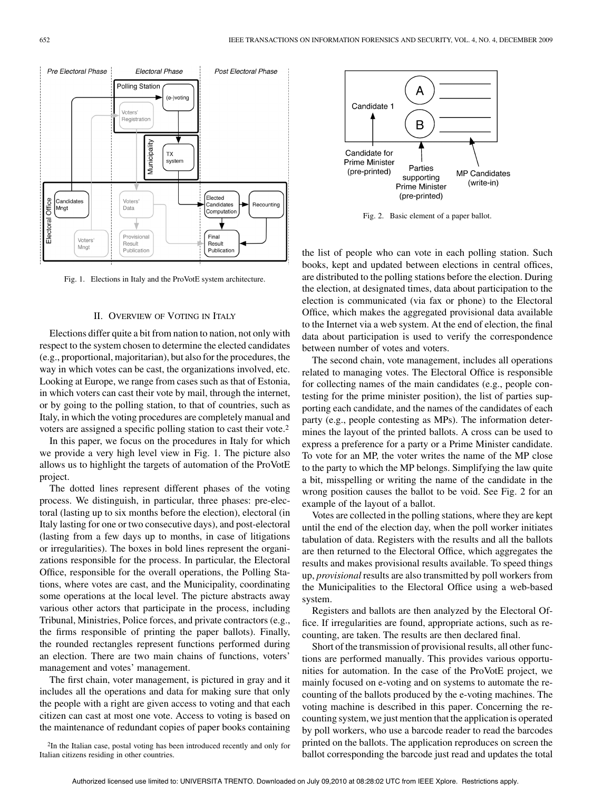

Fig. 1. Elections in Italy and the ProVotE system architecture.

#### II. OVERVIEW OF VOTING IN ITALY

Elections differ quite a bit from nation to nation, not only with respect to the system chosen to determine the elected candidates (e.g., proportional, majoritarian), but also for the procedures, the way in which votes can be cast, the organizations involved, etc. Looking at Europe, we range from cases such as that of Estonia, in which voters can cast their vote by mail, through the internet, or by going to the polling station, to that of countries, such as Italy, in which the voting procedures are completely manual and voters are assigned a specific polling station to cast their vote.2

In this paper, we focus on the procedures in Italy for which we provide a very high level view in Fig. 1. The picture also allows us to highlight the targets of automation of the ProVotE project.

The dotted lines represent different phases of the voting process. We distinguish, in particular, three phases: pre-electoral (lasting up to six months before the election), electoral (in Italy lasting for one or two consecutive days), and post-electoral (lasting from a few days up to months, in case of litigations or irregularities). The boxes in bold lines represent the organizations responsible for the process. In particular, the Electoral Office, responsible for the overall operations, the Polling Stations, where votes are cast, and the Municipality, coordinating some operations at the local level. The picture abstracts away various other actors that participate in the process, including Tribunal, Ministries, Police forces, and private contractors (e.g., the firms responsible of printing the paper ballots). Finally, the rounded rectangles represent functions performed during an election. There are two main chains of functions, voters' management and votes' management.

The first chain, voter management, is pictured in gray and it includes all the operations and data for making sure that only the people with a right are given access to voting and that each citizen can cast at most one vote. Access to voting is based on the maintenance of redundant copies of paper books containing



Fig. 2. Basic element of a paper ballot.

the list of people who can vote in each polling station. Such books, kept and updated between elections in central offices, are distributed to the polling stations before the election. During the election, at designated times, data about participation to the election is communicated (via fax or phone) to the Electoral Office, which makes the aggregated provisional data available to the Internet via a web system. At the end of election, the final data about participation is used to verify the correspondence between number of votes and voters.

The second chain, vote management, includes all operations related to managing votes. The Electoral Office is responsible for collecting names of the main candidates (e.g., people contesting for the prime minister position), the list of parties supporting each candidate, and the names of the candidates of each party (e.g., people contesting as MPs). The information determines the layout of the printed ballots. A cross can be used to express a preference for a party or a Prime Minister candidate. To vote for an MP, the voter writes the name of the MP close to the party to which the MP belongs. Simplifying the law quite a bit, misspelling or writing the name of the candidate in the wrong position causes the ballot to be void. See Fig. 2 for an example of the layout of a ballot.

Votes are collected in the polling stations, where they are kept until the end of the election day, when the poll worker initiates tabulation of data. Registers with the results and all the ballots are then returned to the Electoral Office, which aggregates the results and makes provisional results available. To speed things up, *provisional* results are also transmitted by poll workers from the Municipalities to the Electoral Office using a web-based system.

Registers and ballots are then analyzed by the Electoral Office. If irregularities are found, appropriate actions, such as recounting, are taken. The results are then declared final.

Short of the transmission of provisional results, all other functions are performed manually. This provides various opportunities for automation. In the case of the ProVotE project, we mainly focused on e-voting and on systems to automate the recounting of the ballots produced by the e-voting machines. The voting machine is described in this paper. Concerning the recounting system, we just mention that the application is operated by poll workers, who use a barcode reader to read the barcodes printed on the ballots. The application reproduces on screen the ballot corresponding the barcode just read and updates the total

<sup>2</sup>In the Italian case, postal voting has been introduced recently and only for Italian citizens residing in other countries.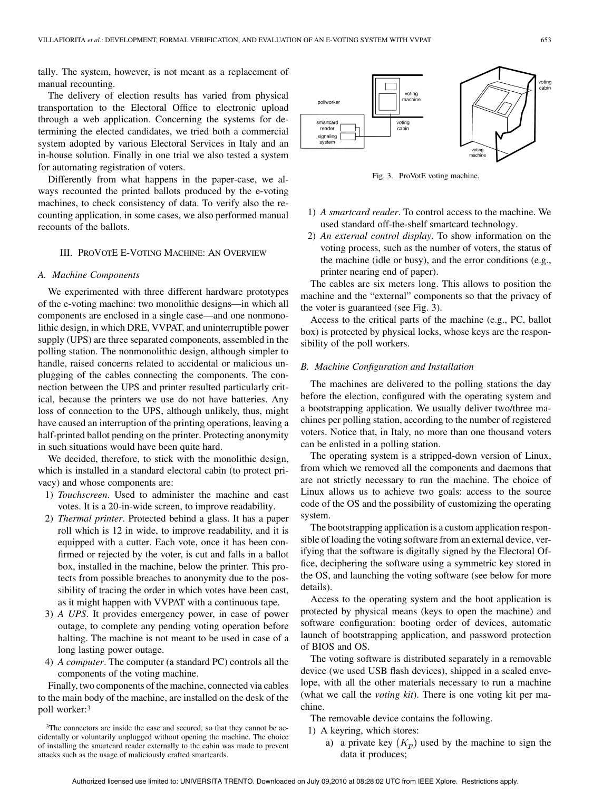tally. The system, however, is not meant as a replacement of manual recounting.

The delivery of election results has varied from physical transportation to the Electoral Office to electronic upload through a web application. Concerning the systems for determining the elected candidates, we tried both a commercial system adopted by various Electoral Services in Italy and an in-house solution. Finally in one trial we also tested a system for automating registration of voters.

Differently from what happens in the paper-case, we always recounted the printed ballots produced by the e-voting machines, to check consistency of data. To verify also the recounting application, in some cases, we also performed manual recounts of the ballots.

## III. PROVOTE E-VOTING MACHINE: AN OVERVIEW

#### *A. Machine Components*

We experimented with three different hardware prototypes of the e-voting machine: two monolithic designs—in which all components are enclosed in a single case—and one nonmonolithic design, in which DRE, VVPAT, and uninterruptible power supply (UPS) are three separated components, assembled in the polling station. The nonmonolithic design, although simpler to handle, raised concerns related to accidental or malicious unplugging of the cables connecting the components. The connection between the UPS and printer resulted particularly critical, because the printers we use do not have batteries. Any loss of connection to the UPS, although unlikely, thus, might have caused an interruption of the printing operations, leaving a half-printed ballot pending on the printer. Protecting anonymity in such situations would have been quite hard.

We decided, therefore, to stick with the monolithic design, which is installed in a standard electoral cabin (to protect privacy) and whose components are:

- 1) *Touchscreen*. Used to administer the machine and cast votes. It is a 20-in-wide screen, to improve readability.
- 2) *Thermal printer*. Protected behind a glass. It has a paper roll which is 12 in wide, to improve readability, and it is equipped with a cutter. Each vote, once it has been confirmed or rejected by the voter, is cut and falls in a ballot box, installed in the machine, below the printer. This protects from possible breaches to anonymity due to the possibility of tracing the order in which votes have been cast, as it might happen with VVPAT with a continuous tape.
- 3) *A UPS*. It provides emergency power, in case of power outage, to complete any pending voting operation before halting. The machine is not meant to be used in case of a long lasting power outage.
- 4) *A computer*. The computer (a standard PC) controls all the components of the voting machine.

Finally, two components of the machine, connected via cables to the main body of the machine, are installed on the desk of the poll worker:3



Fig. 3. ProVotE voting machine.

- 1) *A smartcard reader*. To control access to the machine. We used standard off-the-shelf smartcard technology.
- 2) *An external control display*. To show information on the voting process, such as the number of voters, the status of the machine (idle or busy), and the error conditions (e.g., printer nearing end of paper).

The cables are six meters long. This allows to position the machine and the "external" components so that the privacy of the voter is guaranteed (see Fig. 3).

Access to the critical parts of the machine (e.g., PC, ballot box) is protected by physical locks, whose keys are the responsibility of the poll workers.

## *B. Machine Configuration and Installation*

The machines are delivered to the polling stations the day before the election, configured with the operating system and a bootstrapping application. We usually deliver two/three machines per polling station, according to the number of registered voters. Notice that, in Italy, no more than one thousand voters can be enlisted in a polling station.

The operating system is a stripped-down version of Linux, from which we removed all the components and daemons that are not strictly necessary to run the machine. The choice of Linux allows us to achieve two goals: access to the source code of the OS and the possibility of customizing the operating system.

The bootstrapping application is a custom application responsible of loading the voting software from an external device, verifying that the software is digitally signed by the Electoral Office, deciphering the software using a symmetric key stored in the OS, and launching the voting software (see below for more details).

Access to the operating system and the boot application is protected by physical means (keys to open the machine) and software configuration: booting order of devices, automatic launch of bootstrapping application, and password protection of BIOS and OS.

The voting software is distributed separately in a removable device (we used USB flash devices), shipped in a sealed envelope, with all the other materials necessary to run a machine (what we call the *voting kit*). There is one voting kit per machine.

The removable device contains the following.

- 1) A keyring, which stores:
	- a) a private key  $(K_p)$  used by the machine to sign the data it produces;

<sup>&</sup>lt;sup>3</sup>The connectors are inside the case and secured, so that they cannot be accidentally or voluntarily unplugged without opening the machine. The choice of installing the smartcard reader externally to the cabin was made to prevent attacks such as the usage of maliciously crafted smartcards.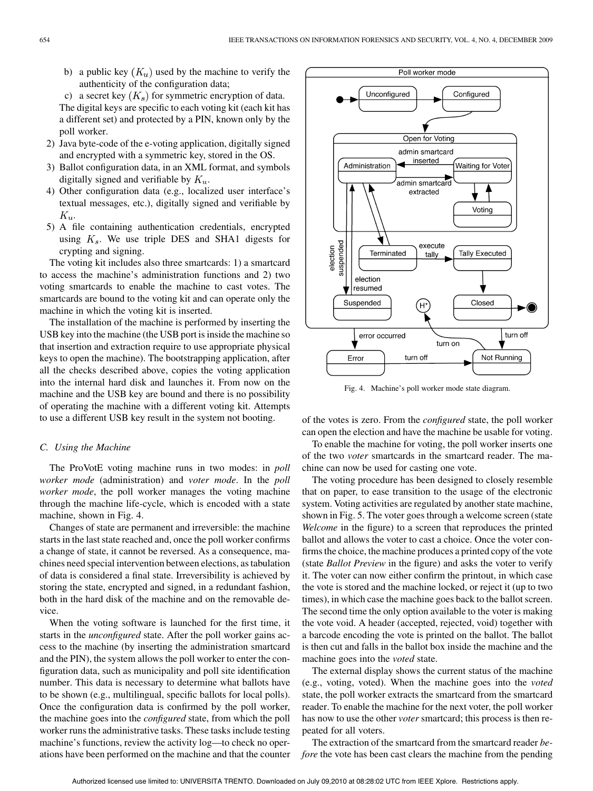- b) a public key  $(K_u)$  used by the machine to verify the authenticity of the configuration data;
- c) a secret key  $(K_s)$  for symmetric encryption of data. The digital keys are specific to each voting kit (each kit has a different set) and protected by a PIN, known only by the poll worker.
- 2) Java byte-code of the e-voting application, digitally signed and encrypted with a symmetric key, stored in the OS.
- 3) Ballot configuration data, in an XML format, and symbols digitally signed and verifiable by  $K_u$ .
- 4) Other configuration data (e.g., localized user interface's textual messages, etc.), digitally signed and verifiable by  $K_{u}$ .
- 5) A file containing authentication credentials, encrypted using  $K_s$ . We use triple DES and SHA1 digests for crypting and signing.

The voting kit includes also three smartcards: 1) a smartcard to access the machine's administration functions and 2) two voting smartcards to enable the machine to cast votes. The smartcards are bound to the voting kit and can operate only the machine in which the voting kit is inserted.

The installation of the machine is performed by inserting the USB key into the machine (the USB port is inside the machine so that insertion and extraction require to use appropriate physical keys to open the machine). The bootstrapping application, after all the checks described above, copies the voting application into the internal hard disk and launches it. From now on the machine and the USB key are bound and there is no possibility of operating the machine with a different voting kit. Attempts to use a different USB key result in the system not booting.

## *C. Using the Machine*

The ProVotE voting machine runs in two modes: in *poll worker mode* (administration) and *voter mode*. In the *poll worker mode*, the poll worker manages the voting machine through the machine life-cycle, which is encoded with a state machine, shown in Fig. 4.

Changes of state are permanent and irreversible: the machine starts in the last state reached and, once the poll worker confirms a change of state, it cannot be reversed. As a consequence, machines need special intervention between elections, as tabulation of data is considered a final state. Irreversibility is achieved by storing the state, encrypted and signed, in a redundant fashion, both in the hard disk of the machine and on the removable device.

When the voting software is launched for the first time, it starts in the *unconfigured* state. After the poll worker gains access to the machine (by inserting the administration smartcard and the PIN), the system allows the poll worker to enter the configuration data, such as municipality and poll site identification number. This data is necessary to determine what ballots have to be shown (e.g., multilingual, specific ballots for local polls). Once the configuration data is confirmed by the poll worker, the machine goes into the *configured* state, from which the poll worker runs the administrative tasks. These tasks include testing machine's functions, review the activity log—to check no operations have been performed on the machine and that the counter



Fig. 4. Machine's poll worker mode state diagram.

of the votes is zero. From the *configured* state, the poll worker can open the election and have the machine be usable for voting.

To enable the machine for voting, the poll worker inserts one of the two *voter* smartcards in the smartcard reader. The machine can now be used for casting one vote.

The voting procedure has been designed to closely resemble that on paper, to ease transition to the usage of the electronic system. Voting activities are regulated by another state machine, shown in Fig. 5. The voter goes through a welcome screen (state *Welcome* in the figure) to a screen that reproduces the printed ballot and allows the voter to cast a choice. Once the voter confirms the choice, the machine produces a printed copy of the vote (state *Ballot Preview* in the figure) and asks the voter to verify it. The voter can now either confirm the printout, in which case the vote is stored and the machine locked, or reject it (up to two times), in which case the machine goes back to the ballot screen. The second time the only option available to the voter is making the vote void. A header (accepted, rejected, void) together with a barcode encoding the vote is printed on the ballot. The ballot is then cut and falls in the ballot box inside the machine and the machine goes into the *voted* state.

The external display shows the current status of the machine (e.g., voting, voted). When the machine goes into the *voted* state, the poll worker extracts the smartcard from the smartcard reader. To enable the machine for the next voter, the poll worker has now to use the other *voter* smartcard; this process is then repeated for all voters.

The extraction of the smartcard from the smartcard reader *before* the vote has been cast clears the machine from the pending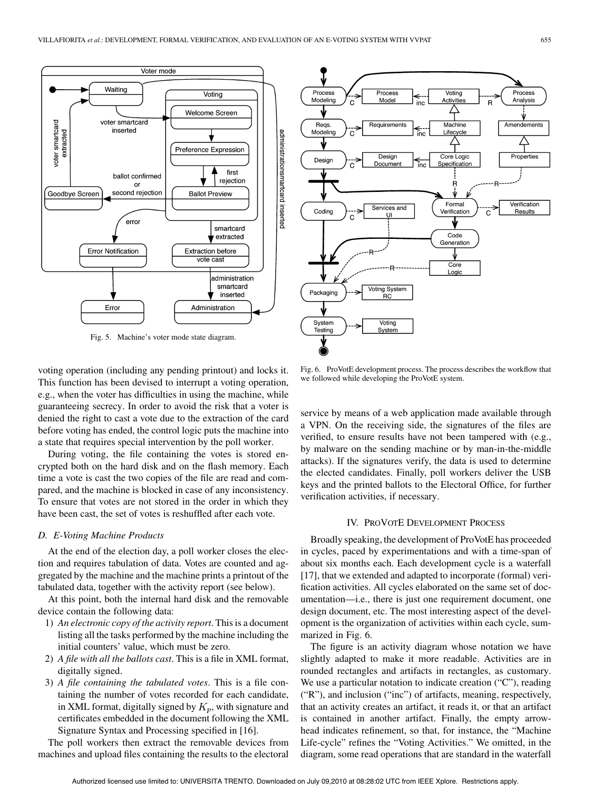

Fig. 5. Machine's voter mode state diagram.

voting operation (including any pending printout) and locks it. This function has been devised to interrupt a voting operation, e.g., when the voter has difficulties in using the machine, while guaranteeing secrecy. In order to avoid the risk that a voter is denied the right to cast a vote due to the extraction of the card before voting has ended, the control logic puts the machine into a state that requires special intervention by the poll worker.

During voting, the file containing the votes is stored encrypted both on the hard disk and on the flash memory. Each time a vote is cast the two copies of the file are read and compared, and the machine is blocked in case of any inconsistency. To ensure that votes are not stored in the order in which they have been cast, the set of votes is reshuffled after each vote.

## *D. E-Voting Machine Products*

At the end of the election day, a poll worker closes the election and requires tabulation of data. Votes are counted and aggregated by the machine and the machine prints a printout of the tabulated data, together with the activity report (see below).

At this point, both the internal hard disk and the removable device contain the following data:

- 1) *An electronic copy of the activity report*. This is a document listing all the tasks performed by the machine including the initial counters' value, which must be zero.
- 2) *A file with all the ballots cast*. This is a file in XML format, digitally signed.
- 3) *A file containing the tabulated votes*. This is a file containing the number of votes recorded for each candidate, in XML format, digitally signed by  $K_p$ , with signature and certificates embedded in the document following the XML Signature Syntax and Processing specified in [16].

The poll workers then extract the removable devices from machines and upload files containing the results to the electoral



Fig. 6. ProVotE development process. The process describes the workflow that we followed while developing the ProVotE system.

service by means of a web application made available through a VPN. On the receiving side, the signatures of the files are verified, to ensure results have not been tampered with (e.g., by malware on the sending machine or by man-in-the-middle attacks). If the signatures verify, the data is used to determine the elected candidates. Finally, poll workers deliver the USB keys and the printed ballots to the Electoral Office, for further verification activities, if necessary.

## IV. PROVOTE DEVELOPMENT PROCESS

Broadly speaking, the development of ProVotE has proceeded in cycles, paced by experimentations and with a time-span of about six months each. Each development cycle is a waterfall [17], that we extended and adapted to incorporate (formal) verification activities. All cycles elaborated on the same set of documentation—i.e., there is just one requirement document, one design document, etc. The most interesting aspect of the development is the organization of activities within each cycle, summarized in Fig. 6.

The figure is an activity diagram whose notation we have slightly adapted to make it more readable. Activities are in rounded rectangles and artifacts in rectangles, as customary. We use a particular notation to indicate creation ("C"), reading ("R"), and inclusion ("inc") of artifacts, meaning, respectively, that an activity creates an artifact, it reads it, or that an artifact is contained in another artifact. Finally, the empty arrowhead indicates refinement, so that, for instance, the "Machine Life-cycle" refines the "Voting Activities." We omitted, in the diagram, some read operations that are standard in the waterfall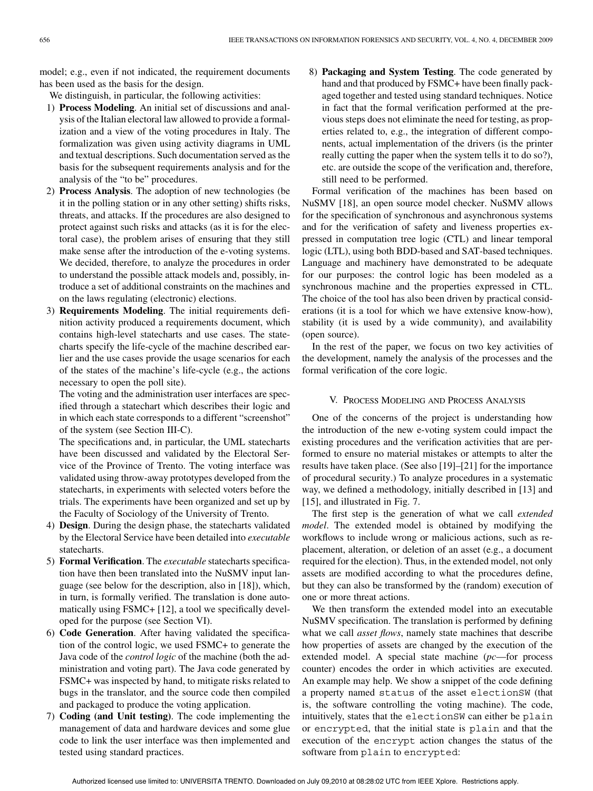model; e.g., even if not indicated, the requirement documents has been used as the basis for the design.

We distinguish, in particular, the following activities:

- 1) **Process Modeling**. An initial set of discussions and analysis of the Italian electoral law allowed to provide a formalization and a view of the voting procedures in Italy. The formalization was given using activity diagrams in UML and textual descriptions. Such documentation served as the basis for the subsequent requirements analysis and for the analysis of the "to be" procedures.
- 2) **Process Analysis**. The adoption of new technologies (be it in the polling station or in any other setting) shifts risks, threats, and attacks. If the procedures are also designed to protect against such risks and attacks (as it is for the electoral case), the problem arises of ensuring that they still make sense after the introduction of the e-voting systems. We decided, therefore, to analyze the procedures in order to understand the possible attack models and, possibly, introduce a set of additional constraints on the machines and on the laws regulating (electronic) elections.
- 3) **Requirements Modeling**. The initial requirements definition activity produced a requirements document, which contains high-level statecharts and use cases. The statecharts specify the life-cycle of the machine described earlier and the use cases provide the usage scenarios for each of the states of the machine's life-cycle (e.g., the actions necessary to open the poll site).

The voting and the administration user interfaces are specified through a statechart which describes their logic and in which each state corresponds to a different "screenshot" of the system (see Section III-C).

The specifications and, in particular, the UML statecharts have been discussed and validated by the Electoral Service of the Province of Trento. The voting interface was validated using throw-away prototypes developed from the statecharts, in experiments with selected voters before the trials. The experiments have been organized and set up by the Faculty of Sociology of the University of Trento.

- 4) **Design**. During the design phase, the statecharts validated by the Electoral Service have been detailed into *executable* statecharts.
- 5) **Formal Verification**. The *executable* statecharts specification have then been translated into the NuSMV input language (see below for the description, also in [18]), which, in turn, is formally verified. The translation is done automatically using FSMC+ [12], a tool we specifically developed for the purpose (see Section VI).
- 6) **Code Generation**. After having validated the specification of the control logic, we used FSMC+ to generate the Java code of the *control logic* of the machine (both the administration and voting part). The Java code generated by FSMC+ was inspected by hand, to mitigate risks related to bugs in the translator, and the source code then compiled and packaged to produce the voting application.
- 7) **Coding (and Unit testing)**. The code implementing the management of data and hardware devices and some glue code to link the user interface was then implemented and tested using standard practices.

8) **Packaging and System Testing**. The code generated by hand and that produced by FSMC+ have been finally packaged together and tested using standard techniques. Notice in fact that the formal verification performed at the previous steps does not eliminate the need for testing, as properties related to, e.g., the integration of different components, actual implementation of the drivers (is the printer really cutting the paper when the system tells it to do so?), etc. are outside the scope of the verification and, therefore, still need to be performed.

Formal verification of the machines has been based on NuSMV [18], an open source model checker. NuSMV allows for the specification of synchronous and asynchronous systems and for the verification of safety and liveness properties expressed in computation tree logic (CTL) and linear temporal logic (LTL), using both BDD-based and SAT-based techniques. Language and machinery have demonstrated to be adequate for our purposes: the control logic has been modeled as a synchronous machine and the properties expressed in CTL. The choice of the tool has also been driven by practical considerations (it is a tool for which we have extensive know-how), stability (it is used by a wide community), and availability (open source).

In the rest of the paper, we focus on two key activities of the development, namely the analysis of the processes and the formal verification of the core logic.

## V. PROCESS MODELING AND PROCESS ANALYSIS

One of the concerns of the project is understanding how the introduction of the new e-voting system could impact the existing procedures and the verification activities that are performed to ensure no material mistakes or attempts to alter the results have taken place. (See also [19]–[21] for the importance of procedural security.) To analyze procedures in a systematic way, we defined a methodology, initially described in [13] and [15], and illustrated in Fig. 7.

The first step is the generation of what we call *extended model*. The extended model is obtained by modifying the workflows to include wrong or malicious actions, such as replacement, alteration, or deletion of an asset (e.g., a document required for the election). Thus, in the extended model, not only assets are modified according to what the procedures define, but they can also be transformed by the (random) execution of one or more threat actions.

We then transform the extended model into an executable NuSMV specification. The translation is performed by defining what we call *asset flows*, namely state machines that describe how properties of assets are changed by the execution of the extended model. A special state machine (*pc*—for process counter) encodes the order in which activities are executed. An example may help. We show a snippet of the code defining a property named status of the asset electionSW (that is, the software controlling the voting machine). The code, intuitively, states that the electionSW can either be plain or encrypted, that the initial state is plain and that the execution of the encrypt action changes the status of the software from plain to encrypted: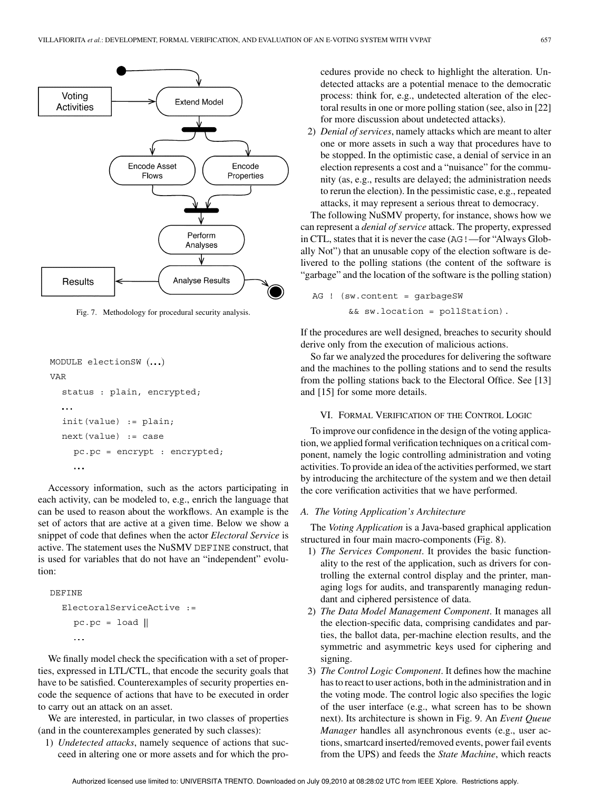

Fig. 7. Methodology for procedural security analysis.

```
MODULE electionSW
VAR
  status : plain, encrypted;
  \ddotscinit(value) := plain;
  next(value) := case
    pc.pc = encrypt : encrypted;
    \ddotsc
```
Accessory information, such as the actors participating in each activity, can be modeled to, e.g., enrich the language that can be used to reason about the workflows. An example is the set of actors that are active at a given time. Below we show a snippet of code that defines when the actor *Electoral Service* is active. The statement uses the NuSMV DEFINE construct, that is used for variables that do not have an "independent" evolution:

```
DEFINE
  ElectoralServiceActive :=
    pc.pc = load\ddotsc
```
We finally model check the specification with a set of properties, expressed in LTL/CTL, that encode the security goals that have to be satisfied. Counterexamples of security properties encode the sequence of actions that have to be executed in order to carry out an attack on an asset.

We are interested, in particular, in two classes of properties (and in the counterexamples generated by such classes):

1) *Undetected attacks*, namely sequence of actions that succeed in altering one or more assets and for which the procedures provide no check to highlight the alteration. Undetected attacks are a potential menace to the democratic process: think for, e.g., undetected alteration of the electoral results in one or more polling station (see, also in [22] for more discussion about undetected attacks).

2) *Denial of services*, namely attacks which are meant to alter one or more assets in such a way that procedures have to be stopped. In the optimistic case, a denial of service in an election represents a cost and a "nuisance" for the community (as, e.g., results are delayed; the administration needs to rerun the election). In the pessimistic case, e.g., repeated attacks, it may represent a serious threat to democracy.

The following NuSMV property, for instance, shows how we can represent a *denial of service* attack. The property, expressed in CTL, states that it is never the case (AG!—for "Always Globally Not") that an unusable copy of the election software is delivered to the polling stations (the content of the software is "garbage" and the location of the software is the polling station)

$$
\text{AG } ! \quad (\text{sw.context = garbageSW} \\ \& \& \quad \text{sw.location = pollStation}).
$$

If the procedures are well designed, breaches to security should derive only from the execution of malicious actions.

So far we analyzed the procedures for delivering the software and the machines to the polling stations and to send the results from the polling stations back to the Electoral Office. See [13] and [15] for some more details.

## VI. FORMAL VERIFICATION OF THE CONTROL LOGIC

To improve our confidence in the design of the voting application, we applied formal verification techniques on a critical component, namely the logic controlling administration and voting activities. To provide an idea of the activities performed, we start by introducing the architecture of the system and we then detail the core verification activities that we have performed.

#### *A. The Voting Application's Architecture*

The *Voting Application* is a Java-based graphical application structured in four main macro-components (Fig. 8).

- 1) *The Services Component*. It provides the basic functionality to the rest of the application, such as drivers for controlling the external control display and the printer, managing logs for audits, and transparently managing redundant and ciphered persistence of data.
- 2) *The Data Model Management Component*. It manages all the election-specific data, comprising candidates and parties, the ballot data, per-machine election results, and the symmetric and asymmetric keys used for ciphering and signing.
- 3) *The Control Logic Component*. It defines how the machine has to react to user actions, both in the administration and in the voting mode. The control logic also specifies the logic of the user interface (e.g., what screen has to be shown next). Its architecture is shown in Fig. 9. An *Event Queue Manager* handles all asynchronous events (e.g., user actions, smartcard inserted/removed events, power fail events from the UPS) and feeds the *State Machine*, which reacts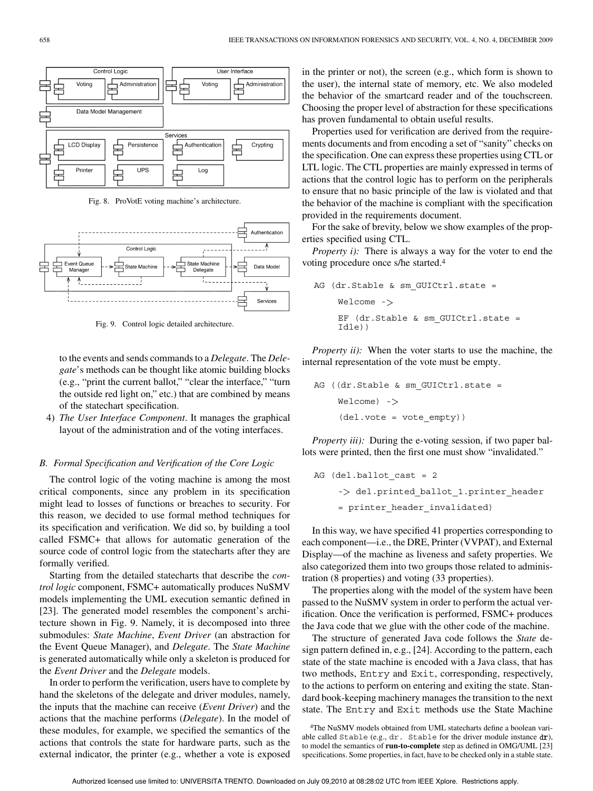

Fig. 8. ProVotE voting machine's architecture.



Fig. 9. Control logic detailed architecture.

to the events and sends commands to a *Delegate*. The *Delegate*'s methods can be thought like atomic building blocks (e.g., "print the current ballot," "clear the interface," "turn the outside red light on," etc.) that are combined by means of the statechart specification.

4) *The User Interface Component*. It manages the graphical layout of the administration and of the voting interfaces.

#### *B. Formal Specification and Verification of the Core Logic*

The control logic of the voting machine is among the most critical components, since any problem in its specification might lead to losses of functions or breaches to security. For this reason, we decided to use formal method techniques for its specification and verification. We did so, by building a tool called FSMC+ that allows for automatic generation of the source code of control logic from the statecharts after they are formally verified.

Starting from the detailed statecharts that describe the *control logic* component, FSMC+ automatically produces NuSMV models implementing the UML execution semantic defined in [23]. The generated model resembles the component's architecture shown in Fig. 9. Namely, it is decomposed into three submodules: *State Machine*, *Event Driver* (an abstraction for the Event Queue Manager), and *Delegate*. The *State Machine* is generated automatically while only a skeleton is produced for the *Event Driver* and the *Delegate* models.

In order to perform the verification, users have to complete by hand the skeletons of the delegate and driver modules, namely, the inputs that the machine can receive (*Event Driver*) and the actions that the machine performs (*Delegate*). In the model of these modules, for example, we specified the semantics of the actions that controls the state for hardware parts, such as the external indicator, the printer (e.g., whether a vote is exposed in the printer or not), the screen (e.g., which form is shown to the user), the internal state of memory, etc. We also modeled the behavior of the smartcard reader and of the touchscreen. Choosing the proper level of abstraction for these specifications has proven fundamental to obtain useful results.

Properties used for verification are derived from the requirements documents and from encoding a set of "sanity" checks on the specification. One can express these properties using CTL or LTL logic. The CTL properties are mainly expressed in terms of actions that the control logic has to perform on the peripherals to ensure that no basic principle of the law is violated and that the behavior of the machine is compliant with the specification provided in the requirements document.

For the sake of brevity, below we show examples of the properties specified using CTL.

*Property i)*: There is always a way for the voter to end the voting procedure once s/he started.4

AG (dr.Stable & sm\_GUICtrl.state = Welcome - EF (dr.Stable & sm\_GUICtrl.state = Idle))

*Property ii)*: When the voter starts to use the machine, the internal representation of the vote must be empty.

AG ((dr.Stable & sm\_GUICtrl.state =  $Welcome$ )  $->$ (del.vote = vote\_empty))

*Property iii)*: During the e-voting session, if two paper ballots were printed, then the first one must show "invalidated."

AG (del.ballot cast = 2 -> del.printed\_ballot\_1.printer\_header = printer header invalidated)

In this way, we have specified 41 properties corresponding to each component—i.e., the DRE, Printer (VVPAT), and External Display—of the machine as liveness and safety properties. We also categorized them into two groups those related to administration (8 properties) and voting (33 properties).

The properties along with the model of the system have been passed to the NuSMV system in order to perform the actual verification. Once the verification is performed, FSMC+ produces the Java code that we glue with the other code of the machine.

The structure of generated Java code follows the *State* design pattern defined in, e.g., [24]. According to the pattern, each state of the state machine is encoded with a Java class, that has two methods, Entry and Exit, corresponding, respectively, to the actions to perform on entering and exiting the state. Standard book-keeping machinery manages the transition to the next state. The Entry and Exit methods use the State Machine

4The NuSMV models obtained from UML statecharts define a boolean variable called Stable (e.g., dr. Stable for the driver module instance dr), to model the semantics of **run-to-complete** step as defined in OMG/UML [23] specifications. Some properties, in fact, have to be checked only in a stable state.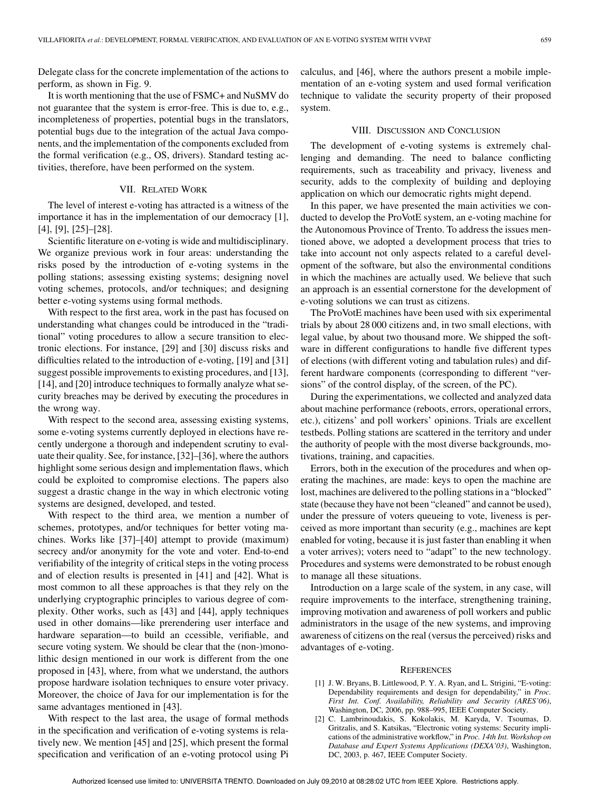Delegate class for the concrete implementation of the actions to perform, as shown in Fig. 9.

It is worth mentioning that the use of FSMC+ and NuSMV do not guarantee that the system is error-free. This is due to, e.g., incompleteness of properties, potential bugs in the translators, potential bugs due to the integration of the actual Java components, and the implementation of the components excluded from the formal verification (e.g., OS, drivers). Standard testing activities, therefore, have been performed on the system.

## VII. RELATED WORK

The level of interest e-voting has attracted is a witness of the importance it has in the implementation of our democracy [1], [4], [9], [25]–[28].

Scientific literature on e-voting is wide and multidisciplinary. We organize previous work in four areas: understanding the risks posed by the introduction of e-voting systems in the polling stations; assessing existing systems; designing novel voting schemes, protocols, and/or techniques; and designing better e-voting systems using formal methods.

With respect to the first area, work in the past has focused on understanding what changes could be introduced in the "traditional" voting procedures to allow a secure transition to electronic elections. For instance, [29] and [30] discuss risks and difficulties related to the introduction of e-voting, [19] and [31] suggest possible improvements to existing procedures, and [13], [14], and [20] introduce techniques to formally analyze what security breaches may be derived by executing the procedures in the wrong way.

With respect to the second area, assessing existing systems, some e-voting systems currently deployed in elections have recently undergone a thorough and independent scrutiny to evaluate their quality. See, for instance, [32]–[36], where the authors highlight some serious design and implementation flaws, which could be exploited to compromise elections. The papers also suggest a drastic change in the way in which electronic voting systems are designed, developed, and tested.

With respect to the third area, we mention a number of schemes, prototypes, and/or techniques for better voting machines. Works like [37]–[40] attempt to provide (maximum) secrecy and/or anonymity for the vote and voter. End-to-end verifiability of the integrity of critical steps in the voting process and of election results is presented in [41] and [42]. What is most common to all these approaches is that they rely on the underlying cryptographic principles to various degree of complexity. Other works, such as [43] and [44], apply techniques used in other domains—like prerendering user interface and hardware separation—to build an ccessible, verifiable, and secure voting system. We should be clear that the (non-)monolithic design mentioned in our work is different from the one proposed in [43], where, from what we understand, the authors propose hardware isolation techniques to ensure voter privacy. Moreover, the choice of Java for our implementation is for the same advantages mentioned in [43].

With respect to the last area, the usage of formal methods in the specification and verification of e-voting systems is relatively new. We mention [45] and [25], which present the formal specification and verification of an e-voting protocol using Pi

calculus, and [46], where the authors present a mobile implementation of an e-voting system and used formal verification technique to validate the security property of their proposed system.

#### VIII. DISCUSSION AND CONCLUSION

The development of e-voting systems is extremely challenging and demanding. The need to balance conflicting requirements, such as traceability and privacy, liveness and security, adds to the complexity of building and deploying application on which our democratic rights might depend.

In this paper, we have presented the main activities we conducted to develop the ProVotE system, an e-voting machine for the Autonomous Province of Trento. To address the issues mentioned above, we adopted a development process that tries to take into account not only aspects related to a careful development of the software, but also the environmental conditions in which the machines are actually used. We believe that such an approach is an essential cornerstone for the development of e-voting solutions we can trust as citizens.

The ProVotE machines have been used with six experimental trials by about 28 000 citizens and, in two small elections, with legal value, by about two thousand more. We shipped the software in different configurations to handle five different types of elections (with different voting and tabulation rules) and different hardware components (corresponding to different "versions" of the control display, of the screen, of the PC).

During the experimentations, we collected and analyzed data about machine performance (reboots, errors, operational errors, etc.), citizens' and poll workers' opinions. Trials are excellent testbeds. Polling stations are scattered in the territory and under the authority of people with the most diverse backgrounds, motivations, training, and capacities.

Errors, both in the execution of the procedures and when operating the machines, are made: keys to open the machine are lost, machines are delivered to the polling stations in a "blocked" state (because they have not been "cleaned" and cannot be used), under the pressure of voters queueing to vote, liveness is perceived as more important than security (e.g., machines are kept enabled for voting, because it is just faster than enabling it when a voter arrives); voters need to "adapt" to the new technology. Procedures and systems were demonstrated to be robust enough to manage all these situations.

Introduction on a large scale of the system, in any case, will require improvements to the interface, strengthening training, improving motivation and awareness of poll workers and public administrators in the usage of the new systems, and improving awareness of citizens on the real (versus the perceived) risks and advantages of e-voting.

#### **REFERENCES**

- [1] J. W. Bryans, B. Littlewood, P. Y. A. Ryan, and L. Strigini, "E-voting: Dependability requirements and design for dependability," in *Proc. First Int. Conf. Availability, Reliability and Security (ARES'06)*, Washington, DC, 2006, pp. 988–995, IEEE Computer Society.
- [2] C. Lambrinoudakis, S. Kokolakis, M. Karyda, V. Tsoumas, D. Gritzalis, and S. Katsikas, "Electronic voting systems: Security implications of the administrative workflow," in *Proc. 14th Int. Workshop on Database and Expert Systems Applications (DEXA'03)*, Washington, DC, 2003, p. 467, IEEE Computer Society.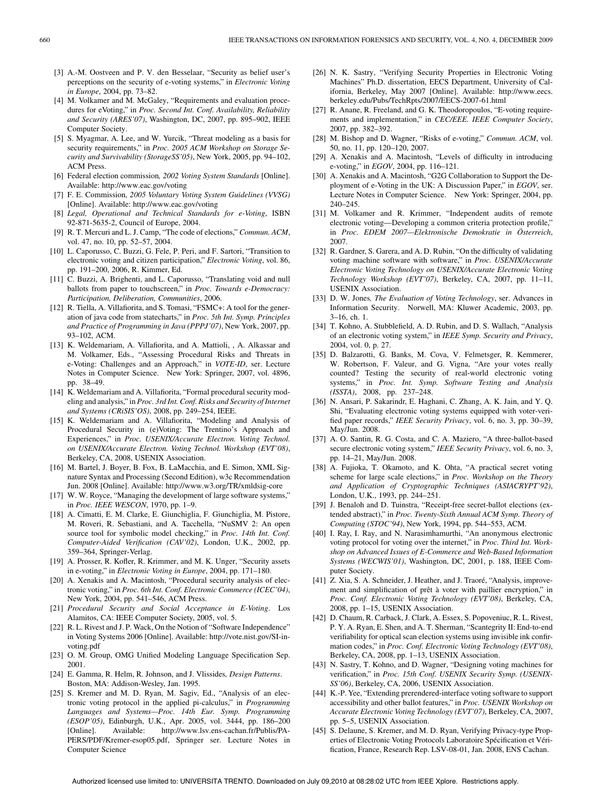- [3] A.-M. Oostveen and P. V. den Besselaar, "Security as belief user's perceptions on the security of e-voting systems," in *Electronic Voting in Europe*, 2004, pp. 73–82.
- [4] M. Volkamer and M. McGaley, "Requirements and evaluation procedures for eVoting," in *Proc. Second Int. Conf. Availability, Reliability and Security (ARES'07)*, Washington, DC, 2007, pp. 895–902, IEEE Computer Society.
- [5] S. Myagmar, A. Lee, and W. Yurcik, "Threat modeling as a basis for security requirements," in *Proc. 2005 ACM Workshop on Storage Security and Survivability (StorageSS'05)*, New York, 2005, pp. 94–102, ACM Press.
- [6] Federal election commission*, 2002 Voting System Standards* [Online]. Available: http://www.eac.gov/voting
- [7] F. E. Commission*, 2005 Voluntary Voting System Guidelines (VVSG)* [Online]. Available: http://www.eac.gov/voting
- [8] *Legal, Operational and Technical Standards for e-Voting*, ISBN 92-871-5635-2, Council of Europe, 2004.
- [9] R. T. Mercuri and L. J. Camp, "The code of elections," *Commun. ACM*, vol. 47, no. 10, pp. 52–57, 2004.
- [10] L. Caporusso, C. Buzzi, G. Fele, P. Peri, and F. Sartori, "Transition to electronic voting and citizen participation," *Electronic Voting*, vol. 86, pp. 191–200, 2006, R. Kimmer, Ed.
- [11] C. Buzzi, A. Brighenti, and L. Caporusso, "Translating void and null ballots from paper to touchscreen," in *Proc. Towards e-Democracy: Participation, Deliberation, Communities*, 2006.
- [12] R. Tiella, A. Villafiorita, and S. Tomasi, "FSMC+: A tool for the generation of java code from statecharts," in *Proc. 5th Int. Symp. Principles and Practice of Programming in Java (PPPJ'07)*, New York, 2007, pp. 93–102, ACM.
- [13] K. Weldemariam, A. Villafiorita, and A. Mattioli, , A. Alkassar and M. Volkamer, Eds., "Assessing Procedural Risks and Threats in e-Voting: Challenges and an Approach," in *VOTE-ID*, ser. Lecture Notes in Computer Science. New York: Springer, 2007, vol. 4896, pp. 38–49.
- [14] K. Weldemariam and A. Villafiorita, "Formal procedural security modeling and analysis," in *Proc. 3rd Int. Conf. Risks and Security of Internet and Systems (CRiSIS'OS)*, 2008, pp. 249–254, IEEE.
- [15] K. Weldemariam and A. Villafiorita, "Modeling and Analysis of Procedural Security in (e)Voting: The Trentino's Approach and Experiences," in *Proc. USENIX/Accurate Electron. Voting Technol. on USENIX/Accurate Electron. Voting Technol. Workshop (EVT'08)*, Berkeley, CA, 2008, USENIX Association.
- [16] M. Bartel, J. Boyer, B. Fox, B. LaMacchia, and E. Simon, XML Signature Syntax and Processing (Second Edition), w3c Recommendation Jun. 2008 [Online]. Available: http://www.w3.org/TR/xmldsig-core
- [17] W. W. Royce, "Managing the development of large software systems," in *Proc. IEEE WESCON*, 1970, pp. 1–9.
- [18] A. Cimatti, E. M. Clarke, E. Giunchiglia, F. Giunchiglia, M. Pistore, M. Roveri, R. Sebastiani, and A. Tacchella, "NuSMV 2: An open source tool for symbolic model checking," in *Proc. 14th Int. Conf. Computer-Aided Verification (CAV'02)*, London, U.K., 2002, pp. 359–364, Springer-Verlag.
- [19] A. Prosser, R. Kofler, R. Krimmer, and M. K. Unger, "Security assets in e-voting," in *Electronic Voting in Europe*, 2004, pp. 171–180.
- [20] A. Xenakis and A. Macintosh, "Procedural security analysis of electronic voting," in *Proc. 6th Int. Conf. Electronic Commerce (ICEC'04)*, New York, 2004, pp. 541–546, ACM Press.
- [21] *Procedural Security and Social Acceptance in E-Voting*. Los Alamitos, CA: IEEE Computer Society, 2005, vol. 5.
- [22] R. L. Rivest and J. P. Wack, On the Notion of "Software Independence" in Voting Systems 2006 [Online]. Available: http://vote.nist.gov/SI-invoting.pdf
- [23] O. M. Group, OMG Unified Modeling Language Specification Sep. 2001.
- [24] E. Gamma, R. Helm, R. Johnson, and J. Vlissides*, Design Patterns*. Boston, MA: Addison-Wesley, Jan. 1995.
- [25] S. Kremer and M. D. Ryan, M. Sagiv, Ed., "Analysis of an electronic voting protocol in the applied pi-calculus," in *Programming Languages and Systems—Proc. 14th Eur. Symp. Programming (ESOP'05)*, Edinburgh, U.K., Apr. 2005, vol. 3444, pp. 186–200 [Online]. Available: http://www.lsv.ens-cachan.fr/Publis/PA-PERS/PDF/Kremer-esop05.pdf, Springer ser. Lecture Notes in Computer Science
- [26] N. K. Sastry, "Verifying Security Properties in Electronic Voting Machines" Ph.D. dissertation, EECS Department, University of California, Berkeley, May 2007 [Online]. Available: http://www.eecs. berkeley.edu/Pubs/TechRpts/2007/EECS-2007-61.html
- [27] R. Anane, R. Freeland, and G. K. Theodoropoulos, "E-voting requirements and implementation," in *CEC/EEE. IEEE Computer Society*, 2007, pp. 382–392.
- [28] M. Bishop and D. Wagner, "Risks of e-voting," *Commun. ACM*, vol. 50, no. 11, pp. 120–120, 2007.
- [29] A. Xenakis and A. Macintosh, "Levels of difficulty in introducing e-voting," in *EGOV*, 2004, pp. 116–121.
- [30] A. Xenakis and A. Macintosh, "G2G Collaboration to Support the Deployment of e-Voting in the UK: A Discussion Paper," in *EGOV*, ser. Lecture Notes in Computer Science. New York: Springer, 2004, pp. 240–245.
- [31] M. Volkamer and R. Krimmer, "Independent audits of remote electronic voting—Developing a common criteria protection profile," in *Proc. EDEM 2007—Elektronische Demokratie in Österreich*, 2007.
- [32] R. Gardner, S. Garera, and A. D. Rubin, "On the difficulty of validating voting machine software with software," in *Proc. USENIX/Accurate Electronic Voting Technology on USENIX/Accurate Electronic Voting Technology Workshop (EVT'07)*, Berkeley, CA, 2007, pp. 11–11, USENIX Association.
- [33] D. W. Jones*, The Evaluation of Voting Technology*, ser. Advances in Information Security. Norwell, MA: Kluwer Academic, 2003, pp. 3–16, ch. 1.
- [34] T. Kohno, A. Stubblefield, A. D. Rubin, and D. S. Wallach, "Analysis of an electronic voting system," in *IEEE Symp. Security and Privacy*, 2004, vol. 0, p. 27.
- [35] D. Balzarotti, G. Banks, M. Cova, V. Felmetsger, R. Kemmerer, W. Robertson, F. Valeur, and G. Vigna, "Are your votes really counted? Testing the security of real-world electronic voting systems," in *Proc. Int. Symp. Software Testing and Analysis (ISSTA)*, 2008, pp. 237–248.
- [36] N. Ansari, P. Sakarindr, E. Haghani, C. Zhang, A. K. Jain, and Y. Q. Shi, "Evaluating electronic voting systems equipped with voter-verified paper records," *IEEE Security Privacy*, vol. 6, no. 3, pp. 30–39, May/Jun. 2008.
- [37] A. O. Santin, R. G. Costa, and C. A. Maziero, "A three-ballot-based secure electronic voting system," *IEEE Security Privacy*, vol. 6, no. 3, pp. 14–21, May/Jun. 2008.
- [38] A. Fujioka, T. Okamoto, and K. Ohta, "A practical secret voting scheme for large scale elections," in *Proc. Workshop on the Theory and Application of Cryptographic Techniques (ASIACRYPT'92)*, London, U.K., 1993, pp. 244–251.
- [39] J. Benaloh and D. Tuinstra, "Receipt-free secret-ballot elections (extended abstract)," in *Proc. Twenty-Sixth Annual ACM Symp. Theory of Computing (STOC'94)*, New York, 1994, pp. 544–553, ACM.
- [40] I. Ray, I. Ray, and N. Narasimhamurthi, "An anonymous electronic voting protocol for voting over the internet," in *Proc. Third Int. Workshop on Advanced Issues of E-Commerce and Web-Based Information Systems (WECWIS'01)*, Washington, DC, 2001, p. 188, IEEE Computer Society.
- [41] Z. Xia, S. A. Schneider, J. Heather, and J. Traoré, "Analysis, improvement and simplification of prêt à voter with paillier encryption," in *Proc. Conf. Electronic Voting Technology (EVT'08)*, Berkeley, CA, 2008, pp. 1–15, USENIX Association.
- [42] D. Chaum, R. Carback, J. Clark, A. Essex, S. Popoveniuc, R. L. Rivest, P. Y. A. Ryan, E. Shen, and A. T. Sherman, "Scantegrity II: End-to-end verifiability for optical scan election systems using invisible ink confirmation codes," in *Proc. Conf. Electronic Voting Technology (EVT'08)*, Berkeley, CA, 2008, pp. 1–13, USENIX Association.
- [43] N. Sastry, T. Kohno, and D. Wagner, "Designing voting machines for verification," in *Proc. 15th Conf. USENIX Security Symp. (USENIX-SS'06)*, Berkeley, CA, 2006, USENIX Association.
- [44] K.-P. Yee, "Extending prerendered-interface voting software to support accessibility and other ballot features," in *Proc. USENIX Workshop on Accurate Electronic Voting Technology (EVT'07)*, Berkeley, CA, 2007, pp. 5–5, USENIX Association.
- [45] S. Delaune, S. Kremer, and M. D. Ryan, Verifying Privacy-type Properties of Electronic Voting Protocols Laboratoire Spécification et Vérification, France, Research Rep. LSV-08-01, Jan. 2008, ENS Cachan.